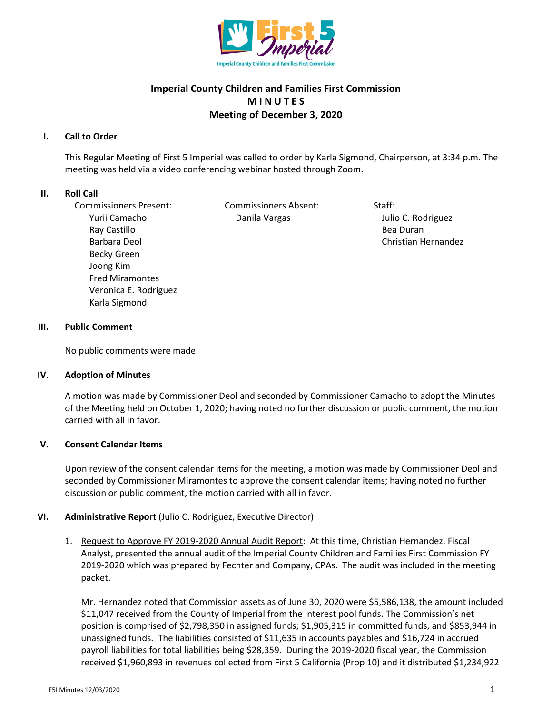

# **Imperial County Children and Families First Commission M I N U T E S Meeting of December 3, 2020**

# **I. Call to Order**

This Regular Meeting of First 5 Imperial was called to order by Karla Sigmond, Chairperson, at 3:34 p.m. The meeting was held via a video conferencing webinar hosted through Zoom.

## **II. Roll Call**

Commissioners Present: Commissioners Absent: Staff: Yurii Camacho **Danila Vargas** Danila Vargas Julio C. Rodriguez Ray Castillo **Bea Duran** Barbara Deol **Christian Hernandez** Christian Hernandez Becky Green Joong Kim Fred Miramontes Veronica E. Rodriguez Karla Sigmond

## **III. Public Comment**

No public comments were made.

#### **IV. Adoption of Minutes**

A motion was made by Commissioner Deol and seconded by Commissioner Camacho to adopt the Minutes of the Meeting held on October 1, 2020; having noted no further discussion or public comment, the motion carried with all in favor.

#### **V. Consent Calendar Items**

Upon review of the consent calendar items for the meeting, a motion was made by Commissioner Deol and seconded by Commissioner Miramontes to approve the consent calendar items; having noted no further discussion or public comment, the motion carried with all in favor.

# **VI. Administrative Report** (Julio C. Rodriguez, Executive Director)

1. Request to Approve FY 2019-2020 Annual Audit Report: At this time, Christian Hernandez, Fiscal Analyst, presented the annual audit of the Imperial County Children and Families First Commission FY 2019-2020 which was prepared by Fechter and Company, CPAs. The audit was included in the meeting packet.

Mr. Hernandez noted that Commission assets as of June 30, 2020 were \$5,586,138, the amount included \$11,047 received from the County of Imperial from the interest pool funds. The Commission's net position is comprised of \$2,798,350 in assigned funds; \$1,905,315 in committed funds, and \$853,944 in unassigned funds. The liabilities consisted of \$11,635 in accounts payables and \$16,724 in accrued payroll liabilities for total liabilities being \$28,359. During the 2019-2020 fiscal year, the Commission received \$1,960,893 in revenues collected from First 5 California (Prop 10) and it distributed \$1,234,922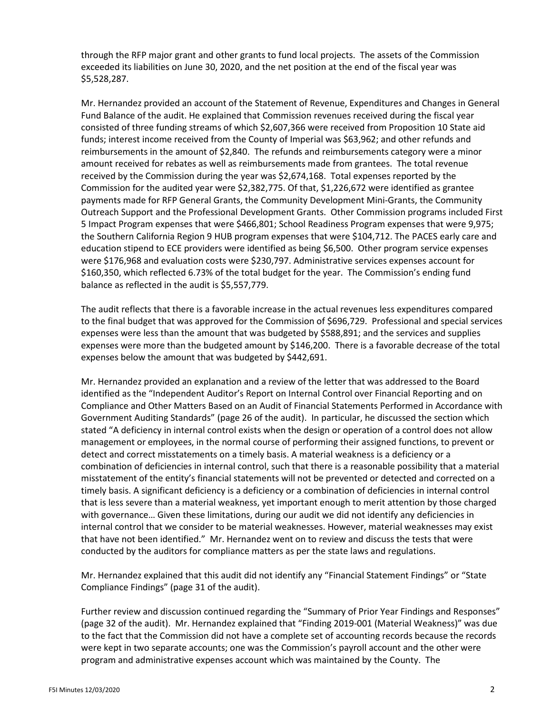through the RFP major grant and other grants to fund local projects. The assets of the Commission exceeded its liabilities on June 30, 2020, and the net position at the end of the fiscal year was \$5,528,287.

Mr. Hernandez provided an account of the Statement of Revenue, Expenditures and Changes in General Fund Balance of the audit. He explained that Commission revenues received during the fiscal year consisted of three funding streams of which \$2,607,366 were received from Proposition 10 State aid funds; interest income received from the County of Imperial was \$63,962; and other refunds and reimbursements in the amount of \$2,840. The refunds and reimbursements category were a minor amount received for rebates as well as reimbursements made from grantees. The total revenue received by the Commission during the year was \$2,674,168. Total expenses reported by the Commission for the audited year were \$2,382,775. Of that, \$1,226,672 were identified as grantee payments made for RFP General Grants, the Community Development Mini-Grants, the Community Outreach Support and the Professional Development Grants. Other Commission programs included First 5 Impact Program expenses that were \$466,801; School Readiness Program expenses that were 9,975; the Southern California Region 9 HUB program expenses that were \$104,712. The PACES early care and education stipend to ECE providers were identified as being \$6,500. Other program service expenses were \$176,968 and evaluation costs were \$230,797. Administrative services expenses account for \$160,350, which reflected 6.73% of the total budget for the year. The Commission's ending fund balance as reflected in the audit is \$5,557,779.

The audit reflects that there is a favorable increase in the actual revenues less expenditures compared to the final budget that was approved for the Commission of \$696,729. Professional and special services expenses were less than the amount that was budgeted by \$588,891; and the services and supplies expenses were more than the budgeted amount by \$146,200. There is a favorable decrease of the total expenses below the amount that was budgeted by \$442,691.

Mr. Hernandez provided an explanation and a review of the letter that was addressed to the Board identified as the "Independent Auditor's Report on Internal Control over Financial Reporting and on Compliance and Other Matters Based on an Audit of Financial Statements Performed in Accordance with Government Auditing Standards" (page 26 of the audit). In particular, he discussed the section which stated "A deficiency in internal control exists when the design or operation of a control does not allow management or employees, in the normal course of performing their assigned functions, to prevent or detect and correct misstatements on a timely basis. A material weakness is a deficiency or a combination of deficiencies in internal control, such that there is a reasonable possibility that a material misstatement of the entity's financial statements will not be prevented or detected and corrected on a timely basis. A significant deficiency is a deficiency or a combination of deficiencies in internal control that is less severe than a material weakness, yet important enough to merit attention by those charged with governance… Given these limitations, during our audit we did not identify any deficiencies in internal control that we consider to be material weaknesses. However, material weaknesses may exist that have not been identified." Mr. Hernandez went on to review and discuss the tests that were conducted by the auditors for compliance matters as per the state laws and regulations.

Mr. Hernandez explained that this audit did not identify any "Financial Statement Findings" or "State Compliance Findings" (page 31 of the audit).

Further review and discussion continued regarding the "Summary of Prior Year Findings and Responses" (page 32 of the audit). Mr. Hernandez explained that "Finding 2019-001 (Material Weakness)" was due to the fact that the Commission did not have a complete set of accounting records because the records were kept in two separate accounts; one was the Commission's payroll account and the other were program and administrative expenses account which was maintained by the County. The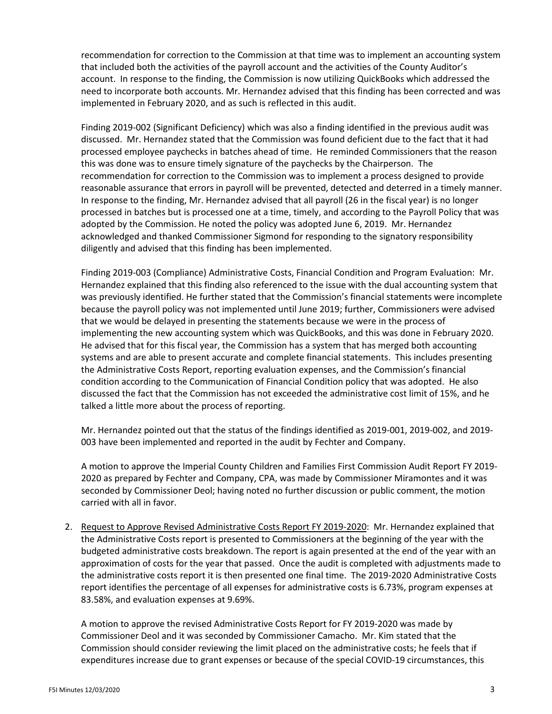recommendation for correction to the Commission at that time was to implement an accounting system that included both the activities of the payroll account and the activities of the County Auditor's account. In response to the finding, the Commission is now utilizing QuickBooks which addressed the need to incorporate both accounts. Mr. Hernandez advised that this finding has been corrected and was implemented in February 2020, and as such is reflected in this audit.

Finding 2019-002 (Significant Deficiency) which was also a finding identified in the previous audit was discussed. Mr. Hernandez stated that the Commission was found deficient due to the fact that it had processed employee paychecks in batches ahead of time. He reminded Commissioners that the reason this was done was to ensure timely signature of the paychecks by the Chairperson. The recommendation for correction to the Commission was to implement a process designed to provide reasonable assurance that errors in payroll will be prevented, detected and deterred in a timely manner. In response to the finding, Mr. Hernandez advised that all payroll (26 in the fiscal year) is no longer processed in batches but is processed one at a time, timely, and according to the Payroll Policy that was adopted by the Commission. He noted the policy was adopted June 6, 2019. Mr. Hernandez acknowledged and thanked Commissioner Sigmond for responding to the signatory responsibility diligently and advised that this finding has been implemented.

Finding 2019-003 (Compliance) Administrative Costs, Financial Condition and Program Evaluation: Mr. Hernandez explained that this finding also referenced to the issue with the dual accounting system that was previously identified. He further stated that the Commission's financial statements were incomplete because the payroll policy was not implemented until June 2019; further, Commissioners were advised that we would be delayed in presenting the statements because we were in the process of implementing the new accounting system which was QuickBooks, and this was done in February 2020. He advised that for this fiscal year, the Commission has a system that has merged both accounting systems and are able to present accurate and complete financial statements. This includes presenting the Administrative Costs Report, reporting evaluation expenses, and the Commission's financial condition according to the Communication of Financial Condition policy that was adopted. He also discussed the fact that the Commission has not exceeded the administrative cost limit of 15%, and he talked a little more about the process of reporting.

Mr. Hernandez pointed out that the status of the findings identified as 2019-001, 2019-002, and 2019- 003 have been implemented and reported in the audit by Fechter and Company.

A motion to approve the Imperial County Children and Families First Commission Audit Report FY 2019- 2020 as prepared by Fechter and Company, CPA, was made by Commissioner Miramontes and it was seconded by Commissioner Deol; having noted no further discussion or public comment, the motion carried with all in favor.

2. Request to Approve Revised Administrative Costs Report FY 2019-2020: Mr. Hernandez explained that the Administrative Costs report is presented to Commissioners at the beginning of the year with the budgeted administrative costs breakdown. The report is again presented at the end of the year with an approximation of costs for the year that passed. Once the audit is completed with adjustments made to the administrative costs report it is then presented one final time. The 2019-2020 Administrative Costs report identifies the percentage of all expenses for administrative costs is 6.73%, program expenses at 83.58%, and evaluation expenses at 9.69%.

A motion to approve the revised Administrative Costs Report for FY 2019-2020 was made by Commissioner Deol and it was seconded by Commissioner Camacho. Mr. Kim stated that the Commission should consider reviewing the limit placed on the administrative costs; he feels that if expenditures increase due to grant expenses or because of the special COVID-19 circumstances, this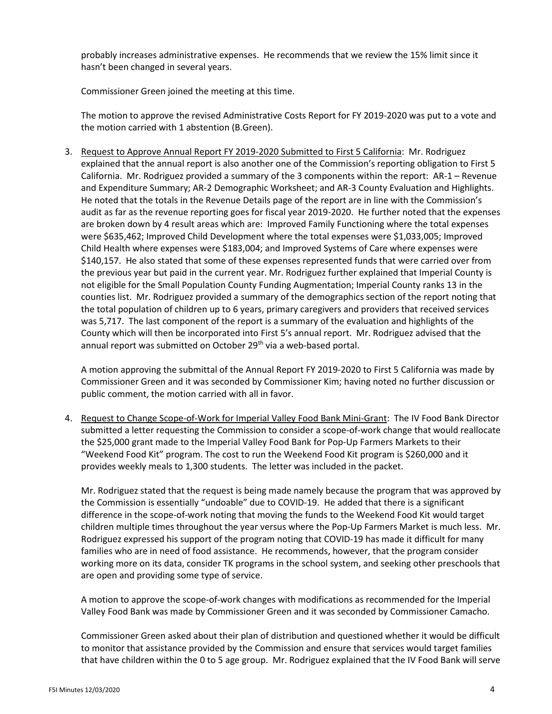probably increases administrative expenses. He recommends that we review the 15% limit since it hasn't been changed in several years.

Commissioner Green joined the meeting at this time.

The motion to approve the revised Administrative Costs Report for FY 2019-2020 was put to a vote and the motion carried with 1 abstention (B.Green).

3. Request to Approve Annual Report FY 2019-2020 Submitted to First 5 California: Mr. Rodriguez explained that the annual report is also another one of the Commission's reporting obligation to First 5 California. Mr. Rodriguez provided a summary of the 3 components within the report: AR-1 – Revenue and Expenditure Summary; AR-2 Demographic Worksheet; and AR-3 County Evaluation and Highlights. He noted that the totals in the Revenue Details page of the report are in line with the Commission's audit as far as the revenue reporting goes for fiscal year 2019-2020. He further noted that the expenses are broken down by 4 result areas which are: Improved Family Functioning where the total expenses were \$635,462; Improved Child Development where the total expenses were \$1,033,005; Improved Child Health where expenses were \$183,004; and Improved Systems of Care where expenses were \$140,157. He also stated that some of these expenses represented funds that were carried over from the previous year but paid in the current year. Mr. Rodriguez further explained that Imperial County is not eligible for the Small Population County Funding Augmentation; Imperial County ranks 13 in the counties list. Mr. Rodriguez provided a summary of the demographics section of the report noting that the total population of children up to 6 years, primary caregivers and providers that received services was 5,717. The last component of the report is a summary of the evaluation and highlights of the County which will then be incorporated into First 5's annual report. Mr. Rodriguez advised that the annual report was submitted on October 29<sup>th</sup> via a web-based portal.

A motion approving the submittal of the Annual Report FY 2019-2020 to First 5 California was made by Commissioner Green and it was seconded by Commissioner Kim; having noted no further discussion or public comment, the motion carried with all in favor.

4. Request to Change Scope-of-Work for Imperial Valley Food Bank Mini-Grant: The IV Food Bank Director submitted a letter requesting the Commission to consider a scope-of-work change that would reallocate the \$25,000 grant made to the Imperial Valley Food Bank for Pop-Up Farmers Markets to their "Weekend Food Kit" program. The cost to run the Weekend Food Kit program is \$260,000 and it provides weekly meals to 1,300 students. The letter was included in the packet.

Mr. Rodriguez stated that the request is being made namely because the program that was approved by the Commission is essentially "undoable" due to COVID-19. He added that there is a significant difference in the scope-of-work noting that moving the funds to the Weekend Food Kit would target children multiple times throughout the year versus where the Pop-Up Farmers Market is much less. Mr. Rodriguez expressed his support of the program noting that COVID-19 has made it difficult for many families who are in need of food assistance. He recommends, however, that the program consider working more on its data, consider TK programs in the school system, and seeking other preschools that are open and providing some type of service.

A motion to approve the scope-of-work changes with modifications as recommended for the Imperial Valley Food Bank was made by Commissioner Green and it was seconded by Commissioner Camacho.

Commissioner Green asked about their plan of distribution and questioned whether it would be difficult to monitor that assistance provided by the Commission and ensure that services would target families that have children within the 0 to 5 age group. Mr. Rodriguez explained that the IV Food Bank will serve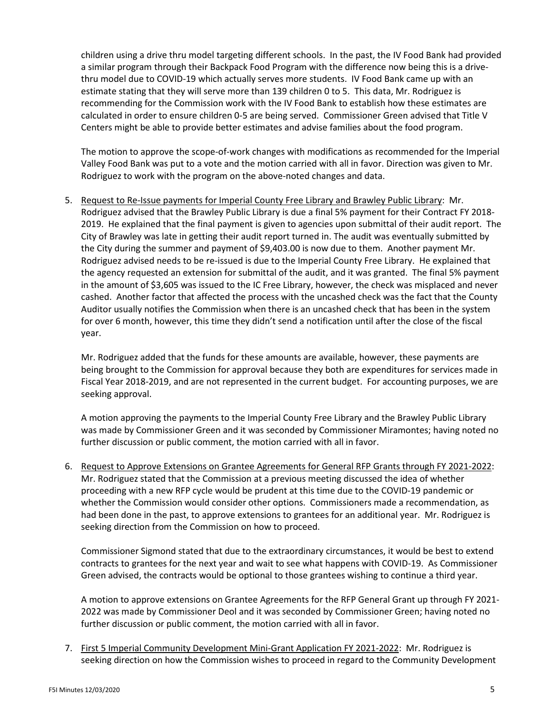children using a drive thru model targeting different schools. In the past, the IV Food Bank had provided a similar program through their Backpack Food Program with the difference now being this is a drivethru model due to COVID-19 which actually serves more students. IV Food Bank came up with an estimate stating that they will serve more than 139 children 0 to 5. This data, Mr. Rodriguez is recommending for the Commission work with the IV Food Bank to establish how these estimates are calculated in order to ensure children 0-5 are being served. Commissioner Green advised that Title V Centers might be able to provide better estimates and advise families about the food program.

The motion to approve the scope-of-work changes with modifications as recommended for the Imperial Valley Food Bank was put to a vote and the motion carried with all in favor. Direction was given to Mr. Rodriguez to work with the program on the above-noted changes and data.

5. Request to Re-Issue payments for Imperial County Free Library and Brawley Public Library: Mr. Rodriguez advised that the Brawley Public Library is due a final 5% payment for their Contract FY 2018- 2019. He explained that the final payment is given to agencies upon submittal of their audit report. The City of Brawley was late in getting their audit report turned in. The audit was eventually submitted by the City during the summer and payment of \$9,403.00 is now due to them. Another payment Mr. Rodriguez advised needs to be re-issued is due to the Imperial County Free Library. He explained that the agency requested an extension for submittal of the audit, and it was granted. The final 5% payment in the amount of \$3,605 was issued to the IC Free Library, however, the check was misplaced and never cashed. Another factor that affected the process with the uncashed check was the fact that the County Auditor usually notifies the Commission when there is an uncashed check that has been in the system for over 6 month, however, this time they didn't send a notification until after the close of the fiscal year.

Mr. Rodriguez added that the funds for these amounts are available, however, these payments are being brought to the Commission for approval because they both are expenditures for services made in Fiscal Year 2018-2019, and are not represented in the current budget. For accounting purposes, we are seeking approval.

A motion approving the payments to the Imperial County Free Library and the Brawley Public Library was made by Commissioner Green and it was seconded by Commissioner Miramontes; having noted no further discussion or public comment, the motion carried with all in favor.

6. Request to Approve Extensions on Grantee Agreements for General RFP Grants through FY 2021-2022: Mr. Rodriguez stated that the Commission at a previous meeting discussed the idea of whether proceeding with a new RFP cycle would be prudent at this time due to the COVID-19 pandemic or whether the Commission would consider other options. Commissioners made a recommendation, as had been done in the past, to approve extensions to grantees for an additional year. Mr. Rodriguez is seeking direction from the Commission on how to proceed.

Commissioner Sigmond stated that due to the extraordinary circumstances, it would be best to extend contracts to grantees for the next year and wait to see what happens with COVID-19. As Commissioner Green advised, the contracts would be optional to those grantees wishing to continue a third year.

A motion to approve extensions on Grantee Agreements for the RFP General Grant up through FY 2021- 2022 was made by Commissioner Deol and it was seconded by Commissioner Green; having noted no further discussion or public comment, the motion carried with all in favor.

7. First 5 Imperial Community Development Mini-Grant Application FY 2021-2022: Mr. Rodriguez is seeking direction on how the Commission wishes to proceed in regard to the Community Development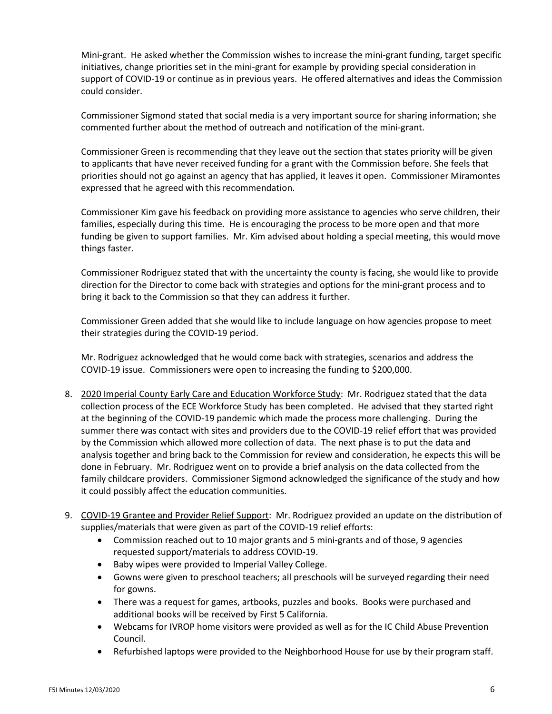Mini-grant. He asked whether the Commission wishes to increase the mini-grant funding, target specific initiatives, change priorities set in the mini-grant for example by providing special consideration in support of COVID-19 or continue as in previous years. He offered alternatives and ideas the Commission could consider.

Commissioner Sigmond stated that social media is a very important source for sharing information; she commented further about the method of outreach and notification of the mini-grant.

Commissioner Green is recommending that they leave out the section that states priority will be given to applicants that have never received funding for a grant with the Commission before. She feels that priorities should not go against an agency that has applied, it leaves it open. Commissioner Miramontes expressed that he agreed with this recommendation.

Commissioner Kim gave his feedback on providing more assistance to agencies who serve children, their families, especially during this time. He is encouraging the process to be more open and that more funding be given to support families. Mr. Kim advised about holding a special meeting, this would move things faster.

Commissioner Rodriguez stated that with the uncertainty the county is facing, she would like to provide direction for the Director to come back with strategies and options for the mini-grant process and to bring it back to the Commission so that they can address it further.

Commissioner Green added that she would like to include language on how agencies propose to meet their strategies during the COVID-19 period.

Mr. Rodriguez acknowledged that he would come back with strategies, scenarios and address the COVID-19 issue. Commissioners were open to increasing the funding to \$200,000.

- 8. 2020 Imperial County Early Care and Education Workforce Study: Mr. Rodriguez stated that the data collection process of the ECE Workforce Study has been completed. He advised that they started right at the beginning of the COVID-19 pandemic which made the process more challenging. During the summer there was contact with sites and providers due to the COVID-19 relief effort that was provided by the Commission which allowed more collection of data. The next phase is to put the data and analysis together and bring back to the Commission for review and consideration, he expects this will be done in February. Mr. Rodriguez went on to provide a brief analysis on the data collected from the family childcare providers. Commissioner Sigmond acknowledged the significance of the study and how it could possibly affect the education communities.
- 9. COVID-19 Grantee and Provider Relief Support: Mr. Rodriguez provided an update on the distribution of supplies/materials that were given as part of the COVID-19 relief efforts:
	- Commission reached out to 10 major grants and 5 mini-grants and of those, 9 agencies requested support/materials to address COVID-19.
	- Baby wipes were provided to Imperial Valley College.
	- Gowns were given to preschool teachers; all preschools will be surveyed regarding their need for gowns.
	- There was a request for games, artbooks, puzzles and books. Books were purchased and additional books will be received by First 5 California.
	- Webcams for IVROP home visitors were provided as well as for the IC Child Abuse Prevention Council.
	- Refurbished laptops were provided to the Neighborhood House for use by their program staff.